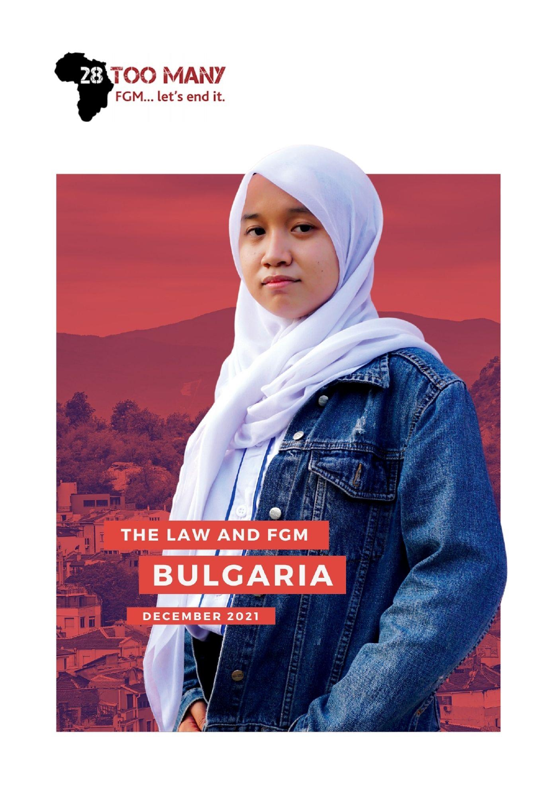

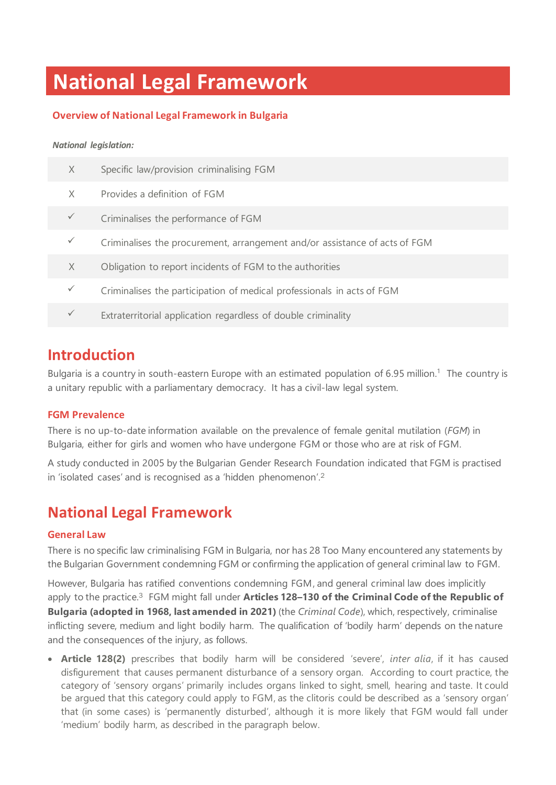# **National Legal Framework**

### **Overview of National Legal Framework in Bulgaria**

### *National legislation:*

| X            | Specific law/provision criminalising FGM                                   |
|--------------|----------------------------------------------------------------------------|
| X            | Provides a definition of FGM                                               |
| $\checkmark$ | Criminalises the performance of FGM                                        |
| $\checkmark$ | Criminalises the procurement, arrangement and/or assistance of acts of FGM |
| X            | Obligation to report incidents of FGM to the authorities                   |
| $\checkmark$ | Criminalises the participation of medical professionals in acts of FGM     |
|              | Extraterritorial application regardless of double criminality              |
|              |                                                                            |

### **Introduction**

Bulgaria is a country in south-eastern Europe with an estimated population of 6.95 million.<sup>1</sup> The country is a unitary republic with a parliamentary democracy. It has a civil-law legal system.

### **FGM Prevalence**

There is no up-to-date information available on the prevalence of female genital mutilation (*FGM*) in Bulgaria, either for girls and women who have undergone FGM or those who are at risk of FGM.

A study conducted in 2005 by the Bulgarian Gender Research Foundation indicated that FGM is practised in 'isolated cases' and is recognised as a 'hidden phenomenon'. 2

### **National Legal Framework**

### **General Law**

There is no specific law criminalising FGM in Bulgaria, nor has 28 Too Many encountered any statements by the Bulgarian Government condemning FGM or confirming the application of general criminal law to FGM.

However, Bulgaria has ratified conventions condemning FGM, and general criminal law does implicitly apply to the practice. <sup>3</sup> FGM might fall under **Articles 128–130 of the Criminal Code of the Republic of Bulgaria (adopted in 1968, last amended in 2021)** (the *Criminal Code*), which, respectively, criminalise inflicting severe, medium and light bodily harm. The qualification of 'bodily harm' depends on the nature and the consequences of the injury, as follows.

• **Article 128(2)** prescribes that bodily harm will be considered 'severe', *inter alia*, if it has caused disfigurement that causes permanent disturbance of a sensory organ. According to court practice, the category of 'sensory organs' primarily includes organs linked to sight, smell, hearing and taste. It could be argued that this category could apply to FGM, as the clitoris could be described as a 'sensory organ' that (in some cases) is 'permanently disturbed', although it is more likely that FGM would fall under 'medium' bodily harm, as described in the paragraph below.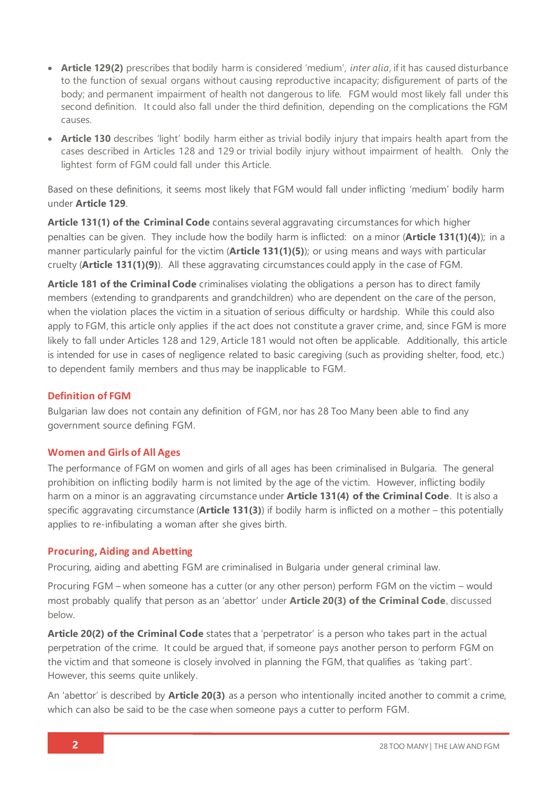- **Article 129(2)** prescribes that bodily harm is considered 'medium', *inter alia*, if it has caused disturbance to the function of sexual organs without causing reproductive incapacity; disfigurement of parts of the body; and permanent impairment of health not dangerous to life. FGM would most likely fall under this second definition. It could also fall under the third definition, depending on the complications the FGM causes.
- **Article 130** describes 'light' bodily harm either as trivial bodily injury that impairs health apart from the cases described in Articles 128 and 129 or trivial bodily injury without impairment of health. Only the lightest form of FGM could fall under this Article.

Based on these definitions, it seems most likely that FGM would fall under inflicting 'medium' bodily harm under **Article 129**.

**Article 131(1) of the Criminal Code** contains several aggravating circumstances for which higher penalties can be given. They include how the bodily harm is inflicted: on a minor (**Article 131(1)(4)**); in a manner particularly painful for the victim (**Article 131(1)(5)**); or using means and ways with particular cruelty (**Article 131(1)(9)**). All these aggravating circumstances could apply in the case of FGM.

**Article 181 of the Criminal Code** criminalises violating the obligations a person has to direct family members (extending to grandparents and grandchildren) who are dependent on the care of the person, when the violation places the victim in a situation of serious difficulty or hardship. While this could also apply to FGM, this article only applies if the act does not constitute a graver crime, and, since FGM is more likely to fall under Articles 128 and 129, Article 181 would not often be applicable. Additionally, this article is intended for use in cases of negligence related to basic caregiving (such as providing shelter, food, etc.) to dependent family members and thus may be inapplicable to FGM.

### **Definition of FGM**

Bulgarian law does not contain any definition of FGM, nor has 28 Too Many been able to find any government source defining FGM.

### **Women and Girls of All Ages**

The performance of FGM on women and girls of all ages has been criminalised in Bulgaria. The general prohibition on inflicting bodily harm is not limited by the age of the victim. However, inflicting bodily harm on a minor is an aggravating circumstance under **Article 131(4) of the Criminal Code**. It is also a specific aggravating circumstance (**Article 131(3)**) if bodily harm is inflicted on a mother – this potentially applies to re-infibulating a woman after she gives birth.

### **Procuring, Aiding and Abetting**

Procuring, aiding and abetting FGM are criminalised in Bulgaria under general criminal law.

Procuring FGM – when someone has a cutter (or any other person) perform FGM on the victim – would most probably qualify that person as an 'abettor' under **Article 20(3) of the Criminal Code**, discussed below.

**Article 20(2) of the Criminal Code** states that a 'perpetrator' is a person who takes part in the actual perpetration of the crime. It could be argued that, if someone pays another person to perform FGM on the victim and that someone is closely involved in planning the FGM, that qualifies as 'taking part'. However, this seems quite unlikely.

An 'abettor' is described by **Article 20(3)** as a person who intentionally incited another to commit a crime, which can also be said to be the case when someone pays a cutter to perform FGM.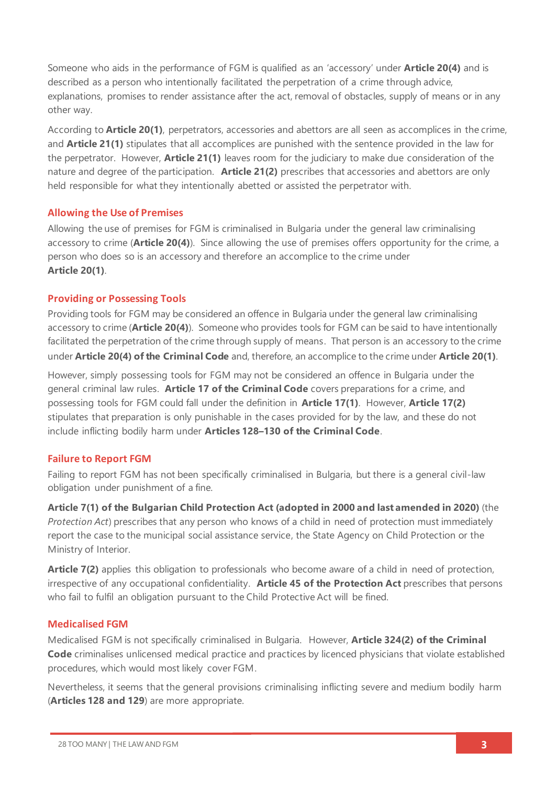Someone who aids in the performance of FGM is qualified as an 'accessory' under **Article 20(4)** and is described as a person who intentionally facilitated the perpetration of a crime through advice, explanations, promises to render assistance after the act, removal of obstacles, supply of means or in any other way.

According to **Article 20(1)**, perpetrators, accessories and abettors are all seen as accomplices in the crime, and **Article 21(1)** stipulates that all accomplices are punished with the sentence provided in the law for the perpetrator. However, **Article 21(1)** leaves room for the judiciary to make due consideration of the nature and degree of the participation. **Article 21(2)** prescribes that accessories and abettors are only held responsible for what they intentionally abetted or assisted the perpetrator with.

### **Allowing the Use of Premises**

Allowing the use of premises for FGM is criminalised in Bulgaria under the general law criminalising accessory to crime (**Article 20(4)**). Since allowing the use of premises offers opportunity for the crime, a person who does so is an accessory and therefore an accomplice to the crime under **Article 20(1)**.

### **Providing or Possessing Tools**

Providing tools for FGM may be considered an offence in Bulgaria under the general law criminalising accessory to crime (**Article 20(4)**). Someone who provides tools for FGM can be said to have intentionally facilitated the perpetration of the crime through supply of means. That person is an accessory to the crime under **Article 20(4) of the Criminal Code** and, therefore, an accomplice to the crime under **Article 20(1)**.

However, simply possessing tools for FGM may not be considered an offence in Bulgaria under the general criminal law rules. **Article 17 of the Criminal Code** covers preparations for a crime, and possessing tools for FGM could fall under the definition in **Article 17(1)**. However, **Article 17(2)** stipulates that preparation is only punishable in the cases provided for by the law, and these do not include inflicting bodily harm under **Articles 128–130 of the Criminal Code**.

### **Failure to Report FGM**

Failing to report FGM has not been specifically criminalised in Bulgaria, but there is a general civil-law obligation under punishment of a fine.

**Article 7(1) of the Bulgarian Child Protection Act (adopted in 2000 and last amended in 2020)** (the *Protection Act*) prescribes that any person who knows of a child in need of protection must immediately report the case to the municipal social assistance service, the State Agency on Child Protection or the Ministry of Interior.

**Article 7(2)** applies this obligation to professionals who become aware of a child in need of protection, irrespective of any occupational confidentiality. **Article 45 of the Protection Act** prescribes that persons who fail to fulfil an obligation pursuant to the Child Protective Act will be fined.

### **Medicalised FGM**

Medicalised FGM is not specifically criminalised in Bulgaria. However, **Article 324(2) of the Criminal Code** criminalises unlicensed medical practice and practices by licenced physicians that violate established procedures, which would most likely cover FGM.

Nevertheless, it seems that the general provisions criminalising inflicting severe and medium bodily harm (**Articles 128 and 129**) are more appropriate.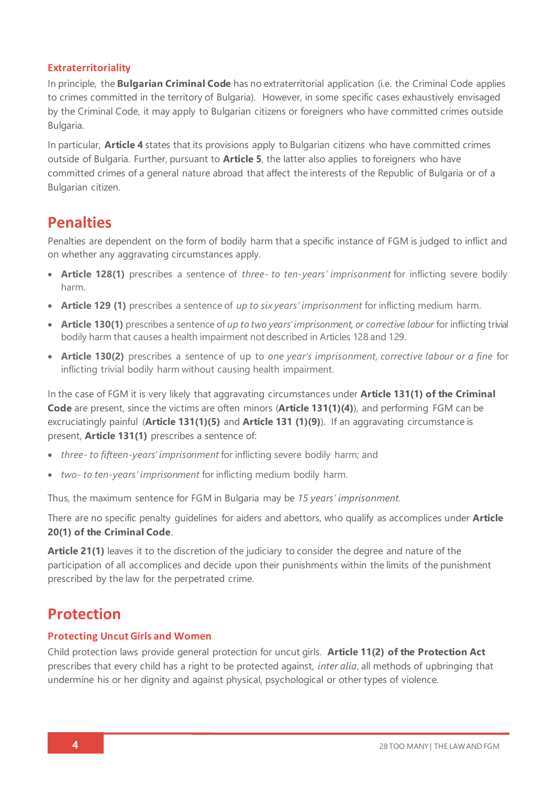### **Extraterritoriality**

In principle, the **Bulgarian Criminal Code** has no extraterritorial application (i.e. the Criminal Code applies to crimes committed in the territory of Bulgaria). However, in some specific cases exhaustively envisaged by the Criminal Code, it may apply to Bulgarian citizens or foreigners who have committed crimes outside Bulgaria.

In particular, **Article 4** states that its provisions apply to Bulgarian citizens who have committed crimes outside of Bulgaria. Further, pursuant to **Article 5**, the latter also applies to foreigners who have committed crimes of a general nature abroad that affect the interests of the Republic of Bulgaria or of a Bulgarian citizen.

## **Penalties**

Penalties are dependent on the form of bodily harm that a specific instance of FGM is judged to inflict and on whether any aggravating circumstances apply.

- **Article 128(1)** prescribes a sentence of *three- to ten-years' imprisonment* for inflicting severe bodily harm.
- **Article 129 (1)** prescribes a sentence of *up to six years' imprisonment* for inflicting medium harm.
- **Article 130(1)** prescribes a sentence of *up to two years' imprisonment, or corrective labour* for inflicting trivial bodily harm that causes a health impairment not described in Articles 128 and 129.
- **Article 130(2)** prescribes a sentence of up to *one year's imprisonment, corrective labour or a fine* for inflicting trivial bodily harm without causing health impairment.

In the case of FGM it is very likely that aggravating circumstances under **Article 131(1) of the Criminal Code** are present, since the victims are often minors (**Article 131(1)(4)**), and performing FGM can be excruciatingly painful (**Article 131(1)(5)** and **Article 131 (1)(9)**). If an aggravating circumstance is present, **Article 131(1)** prescribes a sentence of:

- *three- to fifteen-years' imprisonment* for inflicting severe bodily harm; and
- *two- to ten-years' imprisonment* for inflicting medium bodily harm.

Thus, the maximum sentence for FGM in Bulgaria may be *15 years' imprisonment*.

There are no specific penalty guidelines for aiders and abettors, who qualify as accomplices under **Article 20(1) of the Criminal Code**.

**Article 21(1)** leaves it to the discretion of the judiciary to consider the degree and nature of the participation of all accomplices and decide upon their punishments within the limits of the punishment prescribed by the law for the perpetrated crime.

## **Protection**

### **Protecting Uncut Girls and Women**

Child protection laws provide general protection for uncut girls. **Article 11(2) of the Protection Act**  prescribes that every child has a right to be protected against, *inter alia*, all methods of upbringing that undermine his or her dignity and against physical, psychological or other types of violence.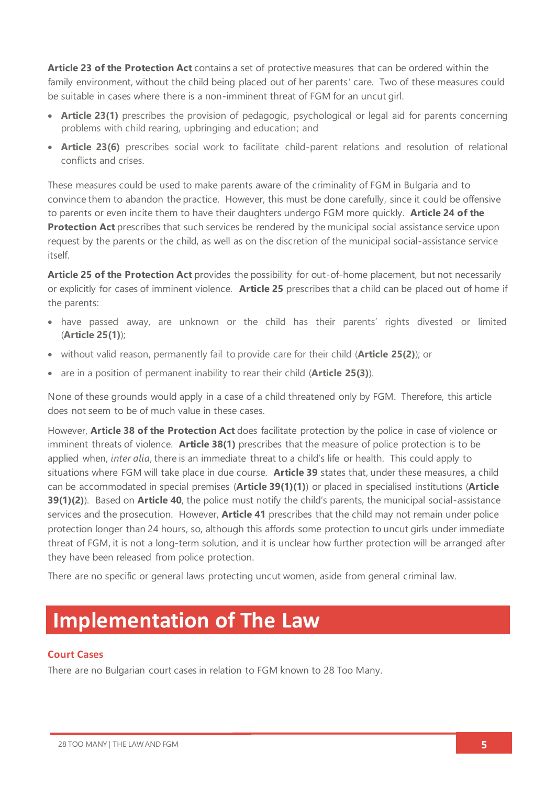**Article 23 of the Protection Act** contains a set of protective measures that can be ordered within the family environment, without the child being placed out of her parents' care. Two of these measures could be suitable in cases where there is a non-imminent threat of FGM for an uncut girl.

- **Article 23(1)** prescribes the provision of pedagogic, psychological or legal aid for parents concerning problems with child rearing, upbringing and education; and
- **Article 23(6)** prescribes social work to facilitate child-parent relations and resolution of relational conflicts and crises.

These measures could be used to make parents aware of the criminality of FGM in Bulgaria and to convince them to abandon the practice. However, this must be done carefully, since it could be offensive to parents or even incite them to have their daughters undergo FGM more quickly. **Article 24 of the Protection Act** prescribes that such services be rendered by the municipal social assistance service upon request by the parents or the child, as well as on the discretion of the municipal social-assistance service itself.

**Article 25 of the Protection Act** provides the possibility for out-of-home placement, but not necessarily or explicitly for cases of imminent violence. **Article 25** prescribes that a child can be placed out of home if the parents:

- have passed away, are unknown or the child has their parents' rights divested or limited (**Article 25(1)**);
- without valid reason, permanently fail to provide care for their child (**Article 25(2)**); or
- are in a position of permanent inability to rear their child (**Article 25(3)**).

None of these grounds would apply in a case of a child threatened only by FGM. Therefore, this article does not seem to be of much value in these cases.

However, **Article 38 of the Protection Act** does facilitate protection by the police in case of violence or imminent threats of violence. **Article 38(1)** prescribes that the measure of police protection is to be applied when, *inter alia*, there is an immediate threat to a child's life or health. This could apply to situations where FGM will take place in due course. **Article 39** states that, under these measures, a child can be accommodated in special premises (**Article 39(1)(1)**) or placed in specialised institutions (**Article 39(1)(2)**). Based on **Article 40**, the police must notify the child's parents, the municipal social-assistance services and the prosecution. However, **Article 41** prescribes that the child may not remain under police protection longer than 24 hours, so, although this affords some protection to uncut girls under immediate threat of FGM, it is not a long-term solution, and it is unclear how further protection will be arranged after they have been released from police protection.

There are no specific or general laws protecting uncut women, aside from general criminal law.

## **Implementation of The Law**

### **Court Cases**

There are no Bulgarian court cases in relation to FGM known to 28 Too Many.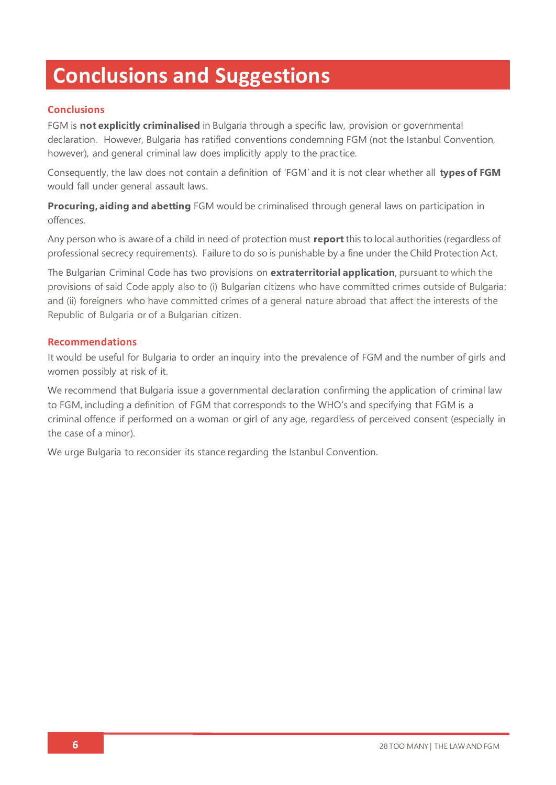# **Conclusions and Suggestions**

### **Conclusions**

FGM is **not explicitly criminalised** in Bulgaria through a specific law, provision or governmental declaration. However, Bulgaria has ratified conventions condemning FGM (not the Istanbul Convention, however), and general criminal law does implicitly apply to the practice.

Consequently, the law does not contain a definition of 'FGM' and it is not clear whether all **types of FGM** would fall under general assault laws.

**Procuring, aiding and abetting** FGM would be criminalised through general laws on participation in offences.

Any person who is aware of a child in need of protection must **report**this to local authorities (regardless of professional secrecy requirements). Failure to do so is punishable by a fine under the Child Protection Act.

The Bulgarian Criminal Code has two provisions on **extraterritorial application**, pursuant to which the provisions of said Code apply also to (i) Bulgarian citizens who have committed crimes outside of Bulgaria; and (ii) foreigners who have committed crimes of a general nature abroad that affect the interests of the Republic of Bulgaria or of a Bulgarian citizen.

### **Recommendations**

It would be useful for Bulgaria to order an inquiry into the prevalence of FGM and the number of girls and women possibly at risk of it.

We recommend that Bulgaria issue a governmental declaration confirming the application of criminal law to FGM, including a definition of FGM that corresponds to the WHO's and specifying that FGM is a criminal offence if performed on a woman or girl of any age, regardless of perceived consent (especially in the case of a minor).

We urge Bulgaria to reconsider its stance regarding the Istanbul Convention.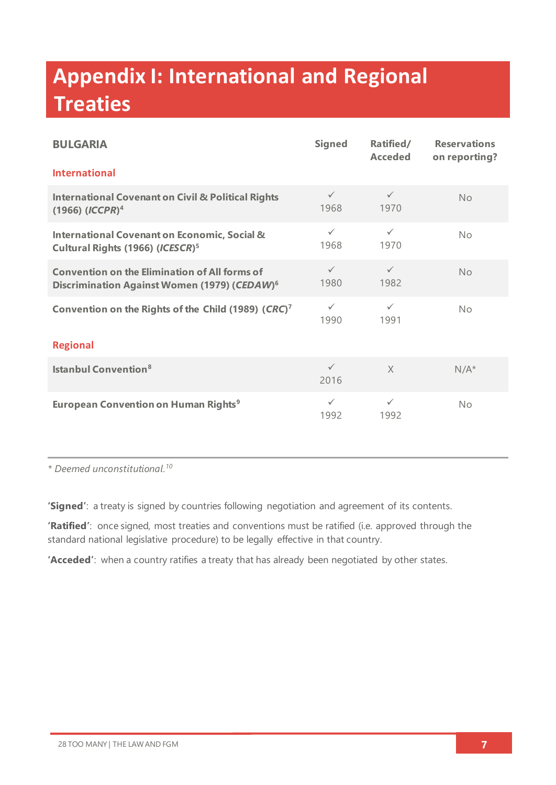# **Appendix I: International and Regional Treaties**

| <b>BULGARIA</b>                                                                                                  | <b>Signed</b>        | Ratified/<br><b>Acceded</b> | <b>Reservations</b><br>on reporting? |  |  |
|------------------------------------------------------------------------------------------------------------------|----------------------|-----------------------------|--------------------------------------|--|--|
| <b>International</b>                                                                                             |                      |                             |                                      |  |  |
| <b>International Covenant on Civil &amp; Political Rights</b><br>$(1966)$ $(ICCPR)^4$                            | $\checkmark$<br>1968 | $\checkmark$<br>1970        | No                                   |  |  |
| <b>International Covenant on Economic, Social &amp;</b><br>Cultural Rights (1966) (ICESCR) <sup>5</sup>          | $\checkmark$<br>1968 | $\checkmark$<br>1970        | No                                   |  |  |
| <b>Convention on the Elimination of All forms of</b><br>Discrimination Against Women (1979) (CEDAW) <sup>6</sup> | $\checkmark$<br>1980 | $\checkmark$<br>1982        | No                                   |  |  |
| Convention on the Rights of the Child (1989) (CRC) <sup>7</sup>                                                  | $\checkmark$<br>1990 | $\checkmark$<br>1991        | No                                   |  |  |
| <b>Regional</b>                                                                                                  |                      |                             |                                      |  |  |
| <b>Istanbul Convention</b> <sup>8</sup>                                                                          | $\checkmark$<br>2016 | $\times$                    | $N/A^*$                              |  |  |
| <b>European Convention on Human Rights<sup>9</sup></b>                                                           | $\checkmark$<br>1992 | $\checkmark$<br>1992        | No                                   |  |  |

*\* Deemed unconstitutional. 10*

**'Signed'**: a treaty is signed by countries following negotiation and agreement of its contents.

**'Ratified'**: once signed, most treaties and conventions must be ratified (i.e. approved through the standard national legislative procedure) to be legally effective in that country.

**'Acceded'**: when a country ratifies a treaty that has already been negotiated by other states.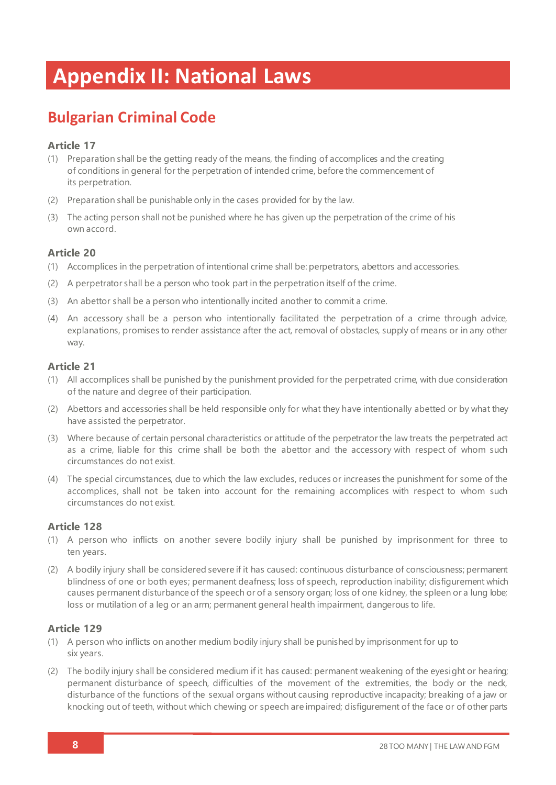# **Appendix II: National Laws**

## **Bulgarian Criminal Code**

### **Article 17**

- (1) Preparation shall be the getting ready of the means, the finding of accomplices and the creating of conditions in general for the perpetration of intended crime, before the commencement of its perpetration.
- (2) Preparation shall be punishable only in the cases provided for by the law.
- (3) The acting person shall not be punished where he has given up the perpetration of the crime of his own accord.

### **Article 20**

- (1) Accomplices in the perpetration of intentional crime shall be: perpetrators, abettors and accessories.
- (2) A perpetrator shall be a person who took part in the perpetration itself of the crime.
- (3) An abettor shall be a person who intentionally incited another to commit a crime.
- (4) An accessory shall be a person who intentionally facilitated the perpetration of a crime through advice, explanations, promises to render assistance after the act, removal of obstacles, supply of means or in any other way.

### **Article 21**

- (1) All accomplices shall be punished by the punishment provided for the perpetrated crime, with due consideration of the nature and degree of their participation.
- (2) Abettors and accessories shall be held responsible only for what they have intentionally abetted or by what they have assisted the perpetrator.
- (3) Where because of certain personal characteristics or attitude of the perpetrator the law treats the perpetrated act as a crime, liable for this crime shall be both the abettor and the accessory with respect of whom such circumstances do not exist.
- (4) The special circumstances, due to which the law excludes, reduces or increases the punishment for some of the accomplices, shall not be taken into account for the remaining accomplices with respect to whom such circumstances do not exist.

### **Article 128**

- (1) A person who inflicts on another severe bodily injury shall be punished by imprisonment for three to ten years.
- (2) A bodily injury shall be considered severe if it has caused: continuous disturbance of consciousness; permanent blindness of one or both eyes; permanent deafness; loss of speech, reproduction inability; disfigurement which causes permanent disturbance of the speech or of a sensory organ; loss of one kidney, the spleen or a lung lobe; loss or mutilation of a leg or an arm; permanent general health impairment, dangerous to life.

### **Article 129**

- (1) A person who inflicts on another medium bodily injury shall be punished by imprisonment for up to six years.
- (2) The bodily injury shall be considered medium if it has caused: permanent weakening of the eyesight or hearing; permanent disturbance of speech, difficulties of the movement of the extremities, the body or the neck, disturbance of the functions of the sexual organs without causing reproductive incapacity; breaking of a jaw or knocking out of teeth, without which chewing or speech are impaired; disfigurement of the face or of other parts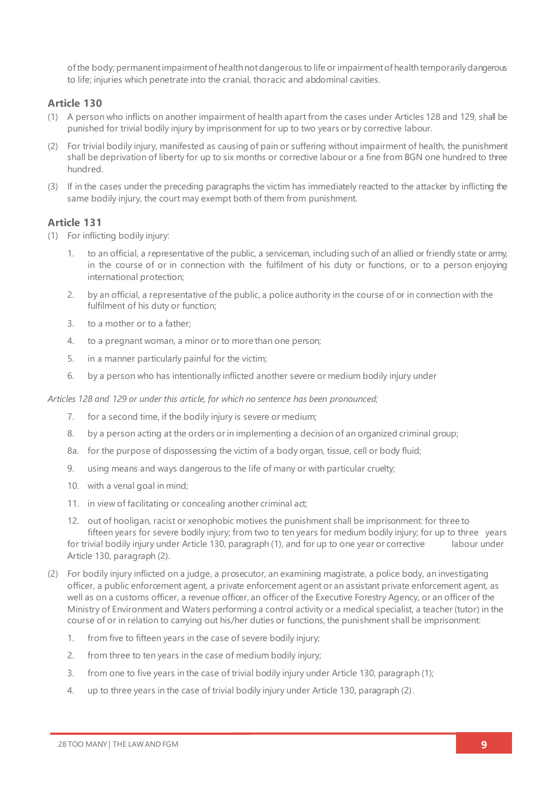of the body; permanent impairment of health not dangerous to life or impairment of health temporarily dangerous to life; injuries which penetrate into the cranial, thoracic and abdominal cavities.

### **Article 130**

- (1) A person who inflicts on another impairment of health apart from the cases under Articles 128 and 129, shall be punished for trivial bodily injury by imprisonment for up to two years or by corrective labour.
- (2) For trivial bodily injury, manifested as causing of pain or suffering without impairment of health, the punishment shall be deprivation of liberty for up to six months or corrective labour or a fine from BGN one hundred to three hundred.
- (3) If in the cases under the preceding paragraphs the victim has immediately reacted to the attacker by inflicting the same bodily injury, the court may exempt both of them from punishment.

### **Article 131**

- (1) For inflicting bodily injury:
	- 1. to an official, a representative of the public, a serviceman, including such of an allied or friendly state or army, in the course of or in connection with the fulfilment of his duty or functions, or to a person enjoying international protection;
	- 2. by an official, a representative of the public, a police authority in the course of or in connection with the fulfilment of his duty or function;
	- 3. to a mother or to a father;
	- 4. to a pregnant woman, a minor or to more than one person;
	- 5. in a manner particularly painful for the victim;
	- 6. by a person who has intentionally inflicted another severe or medium bodily injury under

*Articles 128 and 129 or under this article, for which no sentence has been pronounced;*

- 7. for a second time, if the bodily injury is severe or medium;
- 8. by a person acting at the orders or in implementing a decision of an organized criminal group;
- 8a. for the purpose of dispossessing the victim of a body organ, tissue, cell or body fluid;
- 9. using means and ways dangerous to the life of many or with particular cruelty;
- 10. with a venal goal in mind;
- 11. in view of facilitating or concealing another criminal act;
- 12. out of hooligan, racist or xenophobic motives the punishment shall be imprisonment: for three to fifteen years for severe bodily injury; from two to ten years for medium bodily injury; for up to three years for trivial bodily injury under Article 130, paragraph (1), and for up to one year or corrective labour under Article 130, paragraph (2).
- (2) For bodily injury inflicted on a judge, a prosecutor, an examining magistrate, a police body, an investigating officer, a public enforcement agent, a private enforcement agent or an assistant private enforcement agent, as well as on a customs officer, a revenue officer, an officer of the Executive Forestry Agency, or an officer of the Ministry of Environment and Waters performing a control activity or a medical specialist, a teacher (tutor) in the course of or in relation to carrying out his/her duties or functions, the punishment shall be imprisonment:
	- 1. from five to fifteen years in the case of severe bodily injury;
	- 2. from three to ten years in the case of medium bodily injury;
	- 3. from one to five years in the case of trivial bodily injury under Article 130, paragraph (1);
	- 4. up to three years in the case of trivial bodily injury under Article 130, paragraph (2).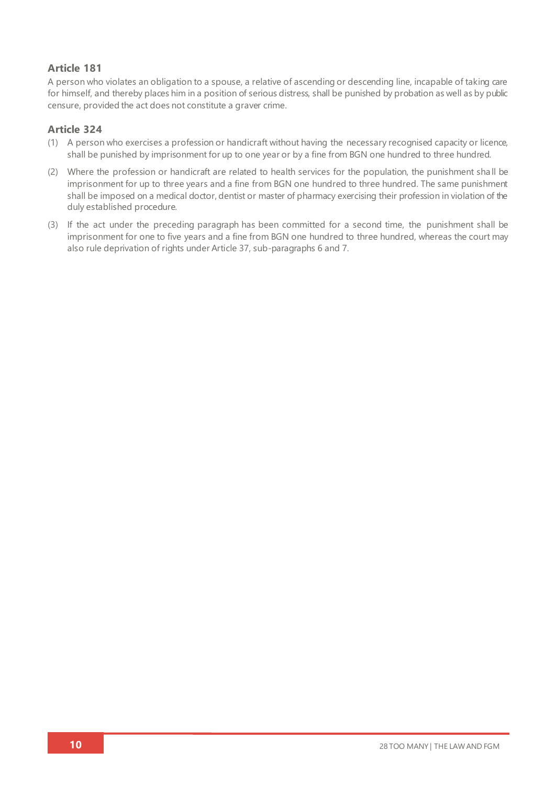### **Article 181**

A person who violates an obligation to a spouse, a relative of ascending or descending line, incapable of taking care for himself, and thereby places him in a position of serious distress, shall be punished by probation as well as by public censure, provided the act does not constitute a graver crime.

### **Article 324**

- (1) A person who exercises a profession or handicraft without having the necessary recognised capacity or licence, shall be punished by imprisonment for up to one year or by a fine from BGN one hundred to three hundred.
- (2) Where the profession or handicraft are related to health services for the population, the punishment sha ll be imprisonment for up to three years and a fine from BGN one hundred to three hundred. The same punishment shall be imposed on a medical doctor, dentist or master of pharmacy exercising their profession in violation of the duly established procedure.
- (3) If the act under the preceding paragraph has been committed for a second time, the punishment shall be imprisonment for one to five years and a fine from BGN one hundred to three hundred, whereas the court may also rule deprivation of rights under Article 37, sub-paragraphs 6 and 7.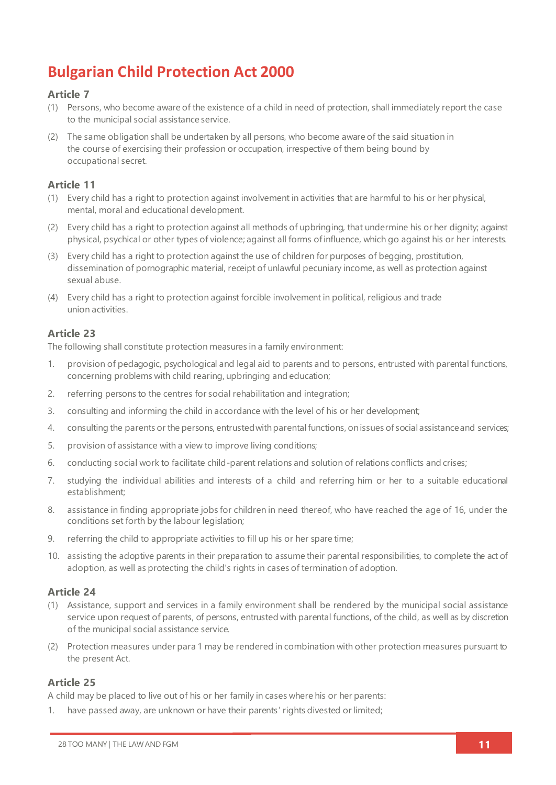## **Bulgarian Child Protection Act 2000**

### **Article 7**

- (1) Persons, who become aware of the existence of a child in need of protection, shall immediately report the case to the municipal social assistance service.
- (2) The same obligation shall be undertaken by all persons, who become aware of the said situation in the course of exercising their profession or occupation, irrespective of them being bound by occupational secret.

### **Article 11**

- (1) Every child has a right to protection against involvement in activities that are harmful to his or her physical, mental, moral and educational development.
- (2) Every child has a right to protection against all methods of upbringing, that undermine his or her dignity; against physical, psychical or other types of violence; against all forms of influence, which go against his or her interests.
- (3) Every child has a right to protection against the use of children for purposes of begging, prostitution, dissemination of pornographic material, receipt of unlawful pecuniary income, as well as protection against sexual abuse.
- (4) Every child has a right to protection against forcible involvement in political, religious and trade union activities.

### **Article 23**

The following shall constitute protection measures in a family environment:

- 1. provision of pedagogic, psychological and legal aid to parents and to persons, entrusted with parental functions, concerning problems with child rearing, upbringing and education;
- 2. referring persons to the centres for social rehabilitation and integration;
- 3. consulting and informing the child in accordance with the level of his or her development;
- 4. consulting the parents or the persons, entrusted with parental functions, on issues of social assistance and services;
- 5. provision of assistance with a view to improve living conditions;
- 6. conducting social work to facilitate child-parent relations and solution of relations conflicts and crises;
- 7. studying the individual abilities and interests of a child and referring him or her to a suitable educational establishment;
- 8. assistance in finding appropriate jobs for children in need thereof, who have reached the age of 16, under the conditions set forth by the labour legislation;
- 9. referring the child to appropriate activities to fill up his or her spare time;
- 10. assisting the adoptive parents in their preparation to assume their parental responsibilities, to complete the act of adoption, as well as protecting the child's rights in cases of termination of adoption.

### **Article 24**

- (1) Assistance, support and services in a family environment shall be rendered by the municipal social assistance service upon request of parents, of persons, entrusted with parental functions, of the child, as well as by discretion of the municipal social assistance service.
- (2) Protection measures under para 1 may be rendered in combination with other protection measures pursuant to the present Act.

### **Article 25**

A child may be placed to live out of his or her family in cases where his or her parents:

1. have passed away, are unknown or have their parents' rights divested or limited;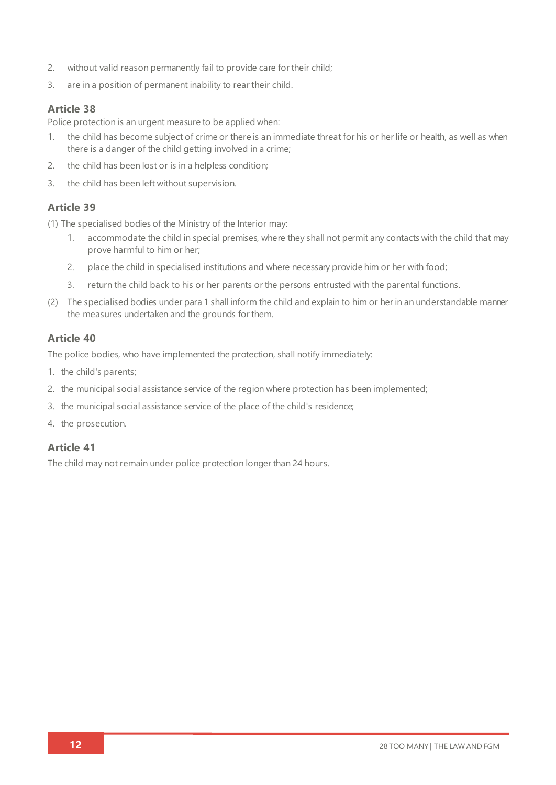- 2. without valid reason permanently fail to provide care for their child;
- 3. are in a position of permanent inability to rear their child.

### **Article 38**

Police protection is an urgent measure to be applied when:

- 1. the child has become subject of crime or there is an immediate threat for his or her life or health, as well as when there is a danger of the child getting involved in a crime;
- 2. the child has been lost or is in a helpless condition;
- 3. the child has been left without supervision.

### **Article 39**

(1) The specialised bodies of the Ministry of the Interior may:

- 1. accommodate the child in special premises, where they shall not permit any contacts with the child that may prove harmful to him or her;
- 2. place the child in specialised institutions and where necessary provide him or her with food;
- 3. return the child back to his or her parents or the persons entrusted with the parental functions.
- (2) The specialised bodies under para 1 shall inform the child and explain to him or her in an understandable manner the measures undertaken and the grounds for them.

### **Article 40**

The police bodies, who have implemented the protection, shall notify immediately:

- 1. the child's parents;
- 2. the municipal social assistance service of the region where protection has been implemented;
- 3. the municipal social assistance service of the place of the child's residence;
- 4. the prosecution.

### **Article 41**

The child may not remain under police protection longer than 24 hours.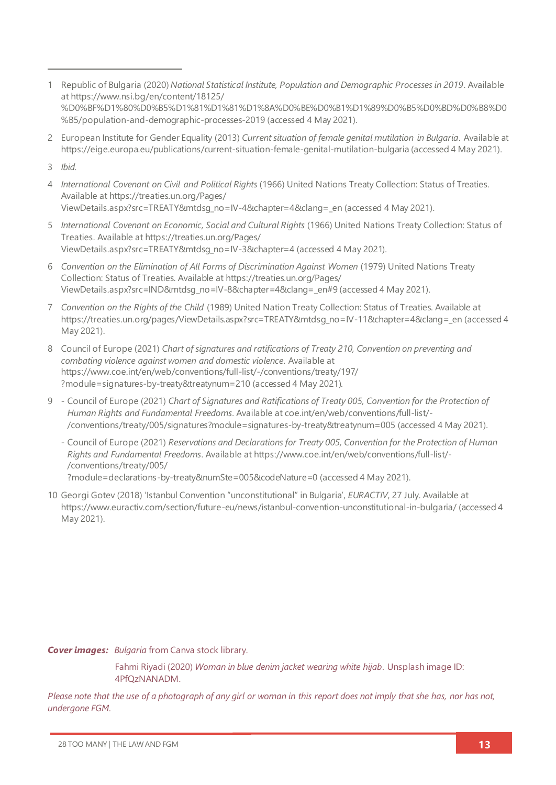- 1 Republic of Bulgaria (2020) *National Statistical Institute, Population and Demographic Processes in 2019*. Available at [https://www.nsi.bg/en/content/18125/](https://www.nsi.bg/en/content/18125/%D0%BF%D1%80%D0%B5%D1%81%D1%81%D1%8A%D0%BE%D0%B1%D1%89%D0%B5%D0%BD%D0%B8%D0%B5/population-and-demographic-processes-2019) [%D0%BF%D1%80%D0%B5%D1%81%D1%81%D1%8A%D0%BE%D0%B1%D1%89%D0%B5%D0%BD%D0%B8%D0](https://www.nsi.bg/en/content/18125/%D0%BF%D1%80%D0%B5%D1%81%D1%81%D1%8A%D0%BE%D0%B1%D1%89%D0%B5%D0%BD%D0%B8%D0%B5/population-and-demographic-processes-2019) [%B5/population-and-demographic-processes-2019](https://www.nsi.bg/en/content/18125/%D0%BF%D1%80%D0%B5%D1%81%D1%81%D1%8A%D0%BE%D0%B1%D1%89%D0%B5%D0%BD%D0%B8%D0%B5/population-and-demographic-processes-2019) (accessed 4 May 2021).
- 2 European Institute for Gender Equality (2013) *Current situation of female genital mutilation in Bulgaria*. Available at <https://eige.europa.eu/publications/current-situation-female-genital-mutilation-bulgaria> (accessed 4 May 2021).
- 3 *Ibid.*
- 4 *International Covenant on Civil and Political Rights* (1966) United Nations Treaty Collection: Status of Treaties*.* Available a[t https://treaties.un.org/Pages/](https://treaties.un.org/Pages/ViewDetails.aspx?src=TREATY&mtdsg_no=IV-4&chapter=4&clang=_en) [ViewDetails.aspx?src=TREATY&mtdsg\\_no=IV-4&chapter=4&clang=\\_en](https://treaties.un.org/Pages/ViewDetails.aspx?src=TREATY&mtdsg_no=IV-4&chapter=4&clang=_en) (accessed 4 May 2021).
- 5 *International Covenant on Economic, Social and Cultural Rights* (1966) United Nations Treaty Collection: Status of Treaties. Available a[t https://treaties.un.org/Pages/](https://treaties.un.org/Pages/ViewDetails.aspx?src=TREATY&mtdsg_no=IV-3&chapter=4) [ViewDetails.aspx?src=TREATY&mtdsg\\_no=IV-3&chapter=4](https://treaties.un.org/Pages/ViewDetails.aspx?src=TREATY&mtdsg_no=IV-3&chapter=4) (accessed 4 May 2021).
- 6 *Convention on the Elimination of All Forms of Discrimination Against Women* (1979) United Nations Treaty Collection: Status of Treaties. Available a[t https://treaties.un.org/Pages/](https://treaties.un.org/Pages/ViewDetails.aspx?src=IND&mtdsg_no=IV-8&chapter=4&clang=_en#9) [ViewDetails.aspx?src=IND&mtdsg\\_no=IV-8&chapter=4&clang=\\_en#9](https://treaties.un.org/Pages/ViewDetails.aspx?src=IND&mtdsg_no=IV-8&chapter=4&clang=_en#9) (accessed 4 May 2021).
- 7 *Convention on the Rights of the Child* (1989) United Nation Treaty Collection: Status of Treaties. Available at [https://treaties.un.org/pages/ViewDetails.aspx?src=TREATY&mtdsg\\_no=IV-11&chapter=4&clang=\\_en](https://treaties.un.org/pages/ViewDetails.aspx?src=TREATY&mtdsg_no=IV-11&chapter=4&clang=_en) (accessed 4 May 2021).
- 8 Council of Europe (2021) *Chart of signatures and ratifications of Treaty 210, Convention on preventing and combating violence against women and domestic violence*. Available at [https://www.coe.int/en/web/conventions/full-list/-/conventions/treaty/197/](https://www.coe.int/en/web/conventions/full-list/-/conventions/treaty/197/?module=signatures-by-treaty&treatynum=210) [?module=signatures-by-treaty&treatynum=210](https://www.coe.int/en/web/conventions/full-list/-/conventions/treaty/197/?module=signatures-by-treaty&treatynum=210) (accessed 4 May 2021).
- 9 Council of Europe (2021) *Chart of Signatures and Ratifications of Treaty 005, Convention for the Protection of Human Rights and Fundamental Freedoms*. Available a[t coe.int/en/web/conventions/full-list/-](file://///System/Volumes/Data/Work%20files/28TooMany/28TM_EUReport%20Design/28TM_EUROPEReports/BULGARIA/coe.int/en/web/conventions/full-list/-/conventions/treaty/005/signatures%253fmodule=signatures-by-treaty&treatynum=005) [/conventions/treaty/005/signatures?module=signatures-by-treaty&treatynum=005](file://///System/Volumes/Data/Work%20files/28TooMany/28TM_EUReport%20Design/28TM_EUROPEReports/BULGARIA/coe.int/en/web/conventions/full-list/-/conventions/treaty/005/signatures%253fmodule=signatures-by-treaty&treatynum=005) (accessed 4 May 2021).
	- Council of Europe (2021) *Reservations and Declarations for Treaty 005, Convention for the Protection of Human Rights and Fundamental Freedoms*. Available a[t https://www.coe.int/en/web/conventions/full-list/-](https://www.coe.int/en/web/conventions/full-list/-/conventions/treaty/005/?module=declarations-by-treaty&numSte=005&codeNature=0) [/conventions/treaty/005/](https://www.coe.int/en/web/conventions/full-list/-/conventions/treaty/005/?module=declarations-by-treaty&numSte=005&codeNature=0) [?module=declarations-by-treaty&numSte=005&codeNature=0](https://www.coe.int/en/web/conventions/full-list/-/conventions/treaty/005/?module=declarations-by-treaty&numSte=005&codeNature=0) (accessed 4 May 2021).
- 10 Georgi Gotev (2018) 'Istanbul Convention "unconstitutional" in Bulgaria', *EURACTIV*, 27 July. Available at <https://www.euractiv.com/section/future-eu/news/istanbul-convention-unconstitutional-in-bulgaria/> (accessed 4 May 2021).

*Cover images: Bulgaria* from Canva stock library.

Fahmi Riyadi (2020) *Woman in blue denim jacket wearing white hijab*. Unsplash image ID: 4PfQzNANADM.

*Please note that the use of a photograph of any girl or woman in this report does not imply that she has, nor has not, undergone FGM.*